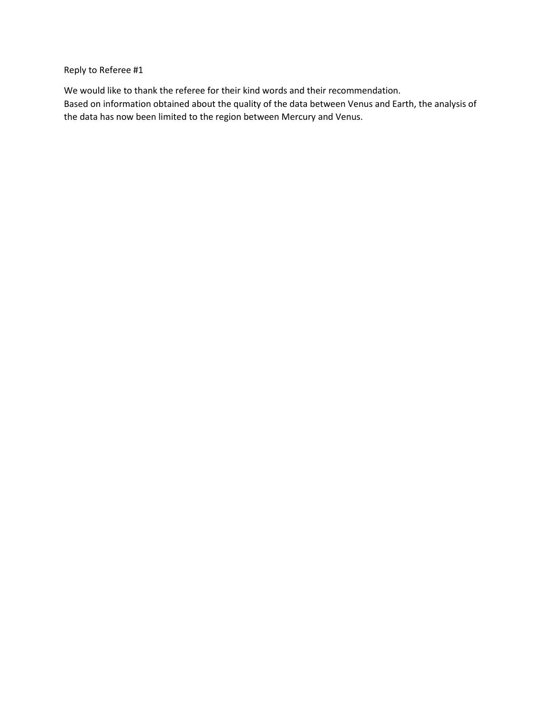Reply to Referee #1

We would like to thank the referee for their kind words and their recommendation. Based on information obtained about the quality of the data between Venus and Earth, the analysis of the data has now been limited to the region between Mercury and Venus.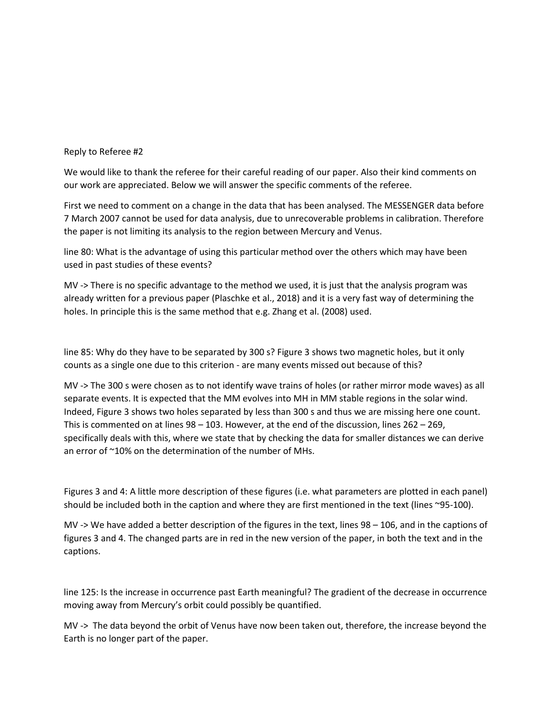## Reply to Referee #2

We would like to thank the referee for their careful reading of our paper. Also their kind comments on our work are appreciated. Below we will answer the specific comments of the referee.

First we need to comment on a change in the data that has been analysed. The MESSENGER data before 7 March 2007 cannot be used for data analysis, due to unrecoverable problems in calibration. Therefore the paper is not limiting its analysis to the region between Mercury and Venus.

line 80: What is the advantage of using this particular method over the others which may have been used in past studies of these events?

MV -> There is no specific advantage to the method we used, it is just that the analysis program was already written for a previous paper (Plaschke et al., 2018) and it is a very fast way of determining the holes. In principle this is the same method that e.g. Zhang et al. (2008) used.

line 85: Why do they have to be separated by 300 s? Figure 3 shows two magnetic holes, but it only counts as a single one due to this criterion - are many events missed out because of this?

MV -> The 300 s were chosen as to not identify wave trains of holes (or rather mirror mode waves) as all separate events. It is expected that the MM evolves into MH in MM stable regions in the solar wind. Indeed, Figure 3 shows two holes separated by less than 300 s and thus we are missing here one count. This is commented on at lines 98 – 103. However, at the end of the discussion, lines 262 – 269, specifically deals with this, where we state that by checking the data for smaller distances we can derive an error of ~10% on the determination of the number of MHs.

Figures 3 and 4: A little more description of these figures (i.e. what parameters are plotted in each panel) should be included both in the caption and where they are first mentioned in the text (lines ~95-100).

MV -> We have added a better description of the figures in the text, lines 98 – 106, and in the captions of figures 3 and 4. The changed parts are in red in the new version of the paper, in both the text and in the captions.

line 125: Is the increase in occurrence past Earth meaningful? The gradient of the decrease in occurrence moving away from Mercury's orbit could possibly be quantified.

MV -> The data beyond the orbit of Venus have now been taken out, therefore, the increase beyond the Earth is no longer part of the paper.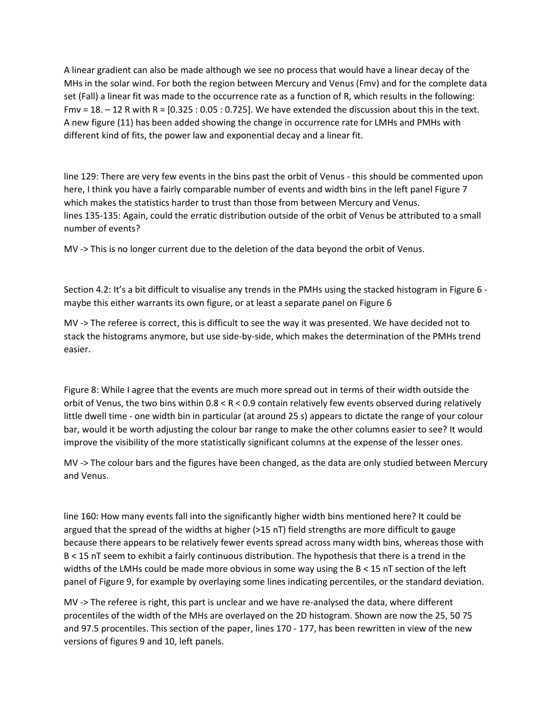A linear gradient can also be made although we see no process that would have a linear decay of the MHs in the solar wind. For both the region between Mercury and Venus (Fmv) and for the complete data set (Fall) a linear fit was made to the occurrence rate as a function of R, which results in the following: Fmv =  $18. - 12$  R with R =  $[0.325: 0.05: 0.725]$ . We have extended the discussion about this in the text. A new figure (11) has been added showing the change in occurrence rate for LMHs and PMHs with different kind of fits, the power law and exponential decay and a linear fit.

line 129: There are very few events in the bins past the orbit of Venus - this should be commented upon here, I think you have a fairly comparable number of events and width bins in the left panel Figure 7 which makes the statistics harder to trust than those from between Mercury and Venus. lines 135-135: Again, could the erratic distribution outside of the orbit of Venus be attributed to a small number of events?

MV -> This is no longer current due to the deletion of the data beyond the orbit of Venus.

Section 4.2: It's a bit difficult to visualise any trends in the PMHs using the stacked histogram in Figure 6 maybe this either warrants its own figure, or at least a separate panel on Figure 6

MV -> The referee is correct, this is difficult to see the way it was presented. We have decided not to stack the histograms anymore, but use side-by-side, which makes the determination of the PMHs trend easier.

Figure 8: While I agree that the events are much more spread out in terms of their width outside the orbit of Venus, the two bins within 0.8 < R < 0.9 contain relatively few events observed during relatively little dwell time - one width bin in particular (at around 25 s) appears to dictate the range of your colour bar, would it be worth adjusting the colour bar range to make the other columns easier to see? It would improve the visibility of the more statistically significant columns at the expense of the lesser ones.

MV -> The colour bars and the figures have been changed, as the data are only studied between Mercury and Venus.

line 160: How many events fall into the significantly higher width bins mentioned here? It could be argued that the spread of the widths at higher (>15 nT) field strengths are more difficult to gauge because there appears to be relatively fewer events spread across many width bins, whereas those with B < 15 nT seem to exhibit a fairly continuous distribution. The hypothesis that there is a trend in the widths of the LMHs could be made more obvious in some way using the B < 15 nT section of the left panel of Figure 9, for example by overlaying some lines indicating percentiles, or the standard deviation.

MV -> The referee is right, this part is unclear and we have re-analysed the data, where different procentiles of the width of the MHs are overlayed on the 2D histogram. Shown are now the 25, 50 75 and 97.5 procentiles. This section of the paper, lines 170 - 177, has been rewritten in view of the new versions of figures 9 and 10, left panels.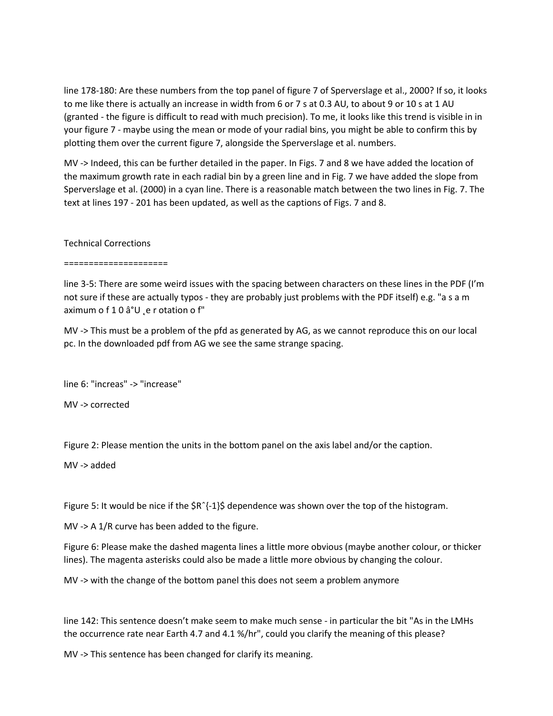line 178-180: Are these numbers from the top panel of figure 7 of Sperverslage et al., 2000? If so, it looks to me like there is actually an increase in width from 6 or 7 s at 0.3 AU, to about 9 or 10 s at 1 AU (granted - the figure is difficult to read with much precision). To me, it looks like this trend is visible in in your figure 7 - maybe using the mean or mode of your radial bins, you might be able to confirm this by plotting them over the current figure 7, alongside the Sperverslage et al. numbers.

MV -> Indeed, this can be further detailed in the paper. In Figs. 7 and 8 we have added the location of the maximum growth rate in each radial bin by a green line and in Fig. 7 we have added the slope from Sperverslage et al. (2000) in a cyan line. There is a reasonable match between the two lines in Fig. 7. The text at lines 197 - 201 has been updated, as well as the captions of Figs. 7 and 8.

## Technical Corrections

=====================

line 3-5: There are some weird issues with the spacing between characters on these lines in the PDF (I'm not sure if these are actually typos - they are probably just problems with the PDF itself) e.g. "a s a m aximum o f 1 0 â°U e r otation o f"

MV -> This must be a problem of the pfd as generated by AG, as we cannot reproduce this on our local pc. In the downloaded pdf from AG we see the same strange spacing.

line 6: "increas" -> "increase"

MV -> corrected

Figure 2: Please mention the units in the bottom panel on the axis label and/or the caption.

MV -> added

Figure 5: It would be nice if the \$Rˆ{-1}\$ dependence was shown over the top of the histogram.

MV -> A 1/R curve has been added to the figure.

Figure 6: Please make the dashed magenta lines a little more obvious (maybe another colour, or thicker lines). The magenta asterisks could also be made a little more obvious by changing the colour.

MV -> with the change of the bottom panel this does not seem a problem anymore

line 142: This sentence doesn't make seem to make much sense - in particular the bit "As in the LMHs the occurrence rate near Earth 4.7 and 4.1 %/hr", could you clarify the meaning of this please?

MV -> This sentence has been changed for clarify its meaning.